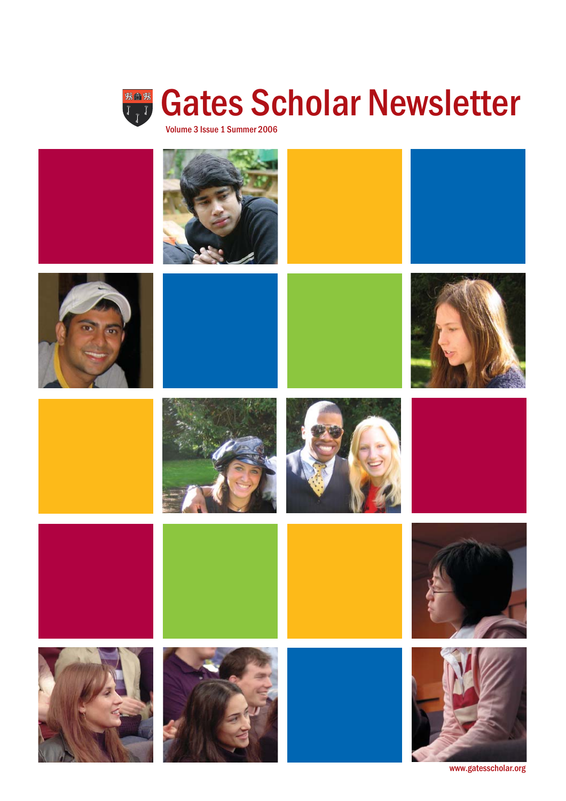



www.gatesscholar.org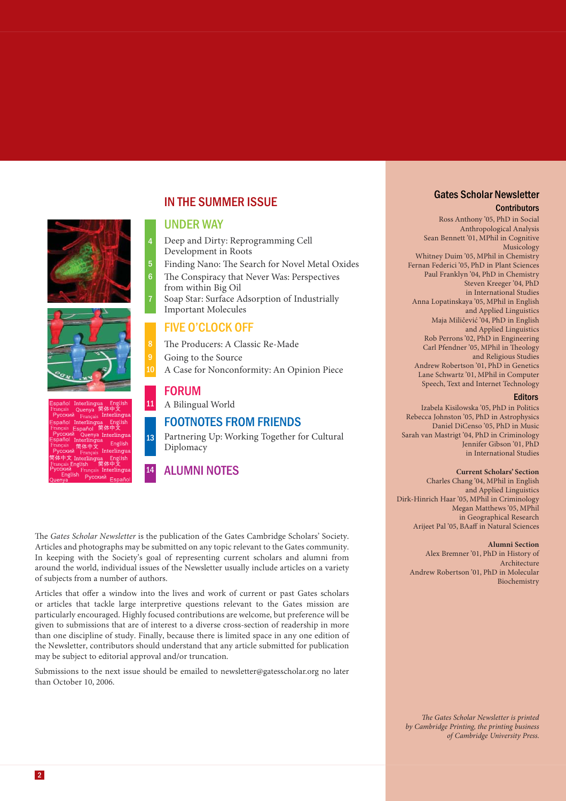#### IN THE SUMMER ISSUE

#### UNDER WAY

4

5 6

7

11

13

14

Deep and Dirty: Reprogramming Cell Development in Roots

Finding Nano: The Search for Novel Metal Oxides The Conspiracy that Never Was: Perspectives

- from within Big Oil
- Soap Star: Surface Adsorption of Industrially Important Molecules

#### FIVE O'CLOCK OFF

The Producers: A Classic Re-Made

Going to the Source A Case for Nonconformity: An Opinion Piece

#### FORUM

A Bilingual World

#### FOOTNOTES FROM FRIENDS

Partnering Up: Working Together for Cultural Diplomacy

#### ALUMNI NOTES

The *Gates Scholar Newsletter* is the publication of the Gates Cambridge Scholars' Society. Articles and photographs may be submitted on any topic relevant to the Gates community. In keeping with the Society's goal of representing current scholars and alumni from around the world, individual issues of the Newsletter usually include articles on a variety of subjects from a number of authors.

Articles that offer a window into the lives and work of current or past Gates scholars or articles that tackle large interpretive questions relevant to the Gates mission are particularly encouraged. Highly focused contributions are welcome, but preference will be given to submissions that are of interest to a diverse cross-section of readership in more than one discipline of study. Finally, because there is limited space in any one edition of the Newsletter, contributors should understand that any article submitted for publication may be subject to editorial approval and/or truncation.

Submissions to the next issue should be emailed to newsletter@gatesscholar.org no later than October 10, 2006.

#### **Contributors** Gates Scholar Newsletter

Ross Anthony '05, PhD in Social Anthropological Analysis Sean Bennett '01, MPhil in Cognitive Musicology Whitney Duim '05, MPhil in Chemistry Fernan Federici '05, PhD in Plant Sciences Paul Franklyn '04, PhD in Chemistry Steven Kreeger '04, PhD in International Studies Anna Lopatinskaya '05, MPhil in English and Applied Linguistics Maja Miličević '04, PhD in English and Applied Linguistics Rob Perrons '02, PhD in Engineering Carl Pfendner '05, MPhil in Theology and Religious Studies Andrew Robertson '01, PhD in Genetics Lane Schwartz '01, MPhil in Computer Speech, Text and Internet Technology

#### **Editors**

Izabela Kisilowska '05, PhD in Politics Rebecca Johnston '05, PhD in Astrophysics Daniel DiCenso '05, PhD in Music Sarah van Mastrigt '04, PhD in Criminology Jennifer Gibson '01, PhD in International Studies

#### **Current Scholars' Section**

Charles Chang '04, MPhil in English and Applied Linguistics Dirk-Hinrich Haar '05, MPhil in Criminology Megan Matthews '05, MPhil in Geographical Research Arijeet Pal '05, BAaff in Natural Sciences

#### **Alumni Section**

Alex Bremner '01, PhD in History of Architecture Andrew Robertson '01, PhD in Molecular Biochemistry

**The Gates Scholar Newsletter is printed** *by Cambridge Printing, the printing business of Cambridge University Press.*





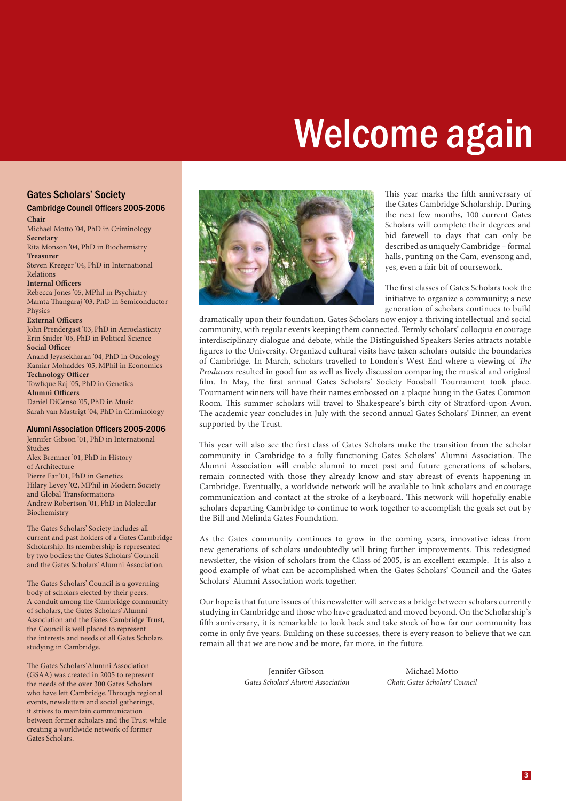# Welcome again

#### Gates Scholars' Society

#### **Chair** Cambridge Council Officers 2005-2006

Michael Motto '04, PhD in Criminology **Secretary** Rita Monson '04, PhD in Biochemistry **Treasurer**

Steven Kreeger '04, PhD in International Relations

#### **Internal Officers**

Rebecca Jones '05, MPhil in Psychiatry Mamta Thangaraj '03, PhD in Semiconductor **Physics** 

#### **External Officers**

John Prendergast '03, PhD in Aeroelasticity Erin Snider '05, PhD in Political Science **Social Officer** 

Anand Jeyasekharan '04, PhD in Oncology Kamiar Mohaddes '05, MPhil in Economics **Technology Officer** Towfique Raj '05, PhD in Genetics

**Alumni Officers** Daniel DiCenso '05, PhD in Music Sarah van Mastrigt '04, PhD in Criminology

#### Alumni Association Officers 2005-2006

Jennifer Gibson '01, PhD in International Studies Alex Bremner '01, PhD in History of Architecture Pierre Far '01, PhD in Genetics Hilary Levey '02, MPhil in Modern Society and Global Transformations Andrew Robertson '01, PhD in Molecular Biochemistry

The Gates Scholars' Society includes all current and past holders of a Gates Cambridge Scholarship. Its membership is represented by two bodies: the Gates Scholars' Council and the Gates Scholars' Alumni Association.

The Gates Scholars' Council is a governing body of scholars elected by their peers. A conduit among the Cambridge community of scholars, the Gates Scholars' Alumni Association and the Gates Cambridge Trust, the Council is well placed to represent the interests and needs of all Gates Scholars studying in Cambridge.

The Gates Scholars' Alumni Association (GSAA) was created in 2005 to represent the needs of the over 300 Gates Scholars who have left Cambridge. Through regional events, newsletters and social gatherings, it strives to maintain communication between former scholars and the Trust while creating a worldwide network of former Gates Scholars.



This year marks the fifth anniversary of the Gates Cambridge Scholarship. During the next few months, 100 current Gates Scholars will complete their degrees and bid farewell to days that can only be described as uniquely Cambridge – formal halls, punting on the Cam, evensong and, yes, even a fair bit of coursework.

The first classes of Gates Scholars took the initiative to organize a community; a new generation of scholars continues to build

dramatically upon their foundation. Gates Scholars now enjoy a thriving intellectual and social community, with regular events keeping them connected. Termly scholars' colloquia encourage interdisciplinary dialogue and debate, while the Distinguished Speakers Series attracts notable figures to the University. Organized cultural visits have taken scholars outside the boundaries of Cambridge. In March, scholars travelled to London's West End where a viewing of *The Producers* resulted in good fun as well as lively discussion comparing the musical and original film. In May, the first annual Gates Scholars' Society Foosball Tournament took place. Tournament winners will have their names embossed on a plaque hung in the Gates Common Room. This summer scholars will travel to Shakespeare's birth city of Stratford-upon-Avon. The academic year concludes in July with the second annual Gates Scholars' Dinner, an event supported by the Trust.

This year will also see the first class of Gates Scholars make the transition from the scholar community in Cambridge to a fully functioning Gates Scholars' Alumni Association. The Alumni Association will enable alumni to meet past and future generations of scholars, remain connected with those they already know and stay abreast of events happening in Cambridge. Eventually, a worldwide network will be available to link scholars and encourage communication and contact at the stroke of a keyboard. This network will hopefully enable scholars departing Cambridge to continue to work together to accomplish the goals set out by the Bill and Melinda Gates Foundation.

As the Gates community continues to grow in the coming years, innovative ideas from new generations of scholars undoubtedly will bring further improvements. This redesigned newsletter, the vision of scholars from the Class of 2005, is an excellent example. It is also a good example of what can be accomplished when the Gates Scholars' Council and the Gates Scholars' Alumni Association work together.

Our hope is that future issues of this newsletter will serve as a bridge between scholars currently studying in Cambridge and those who have graduated and moved beyond. On the Scholarship's fifth anniversary, it is remarkable to look back and take stock of how far our community has come in only five years. Building on these successes, there is every reason to believe that we can remain all that we are now and be more, far more, in the future.

> Jennifer Gibson *Gates Scholars' Alumni Association*

Michael Motto *Chair, Gates Scholars' Council*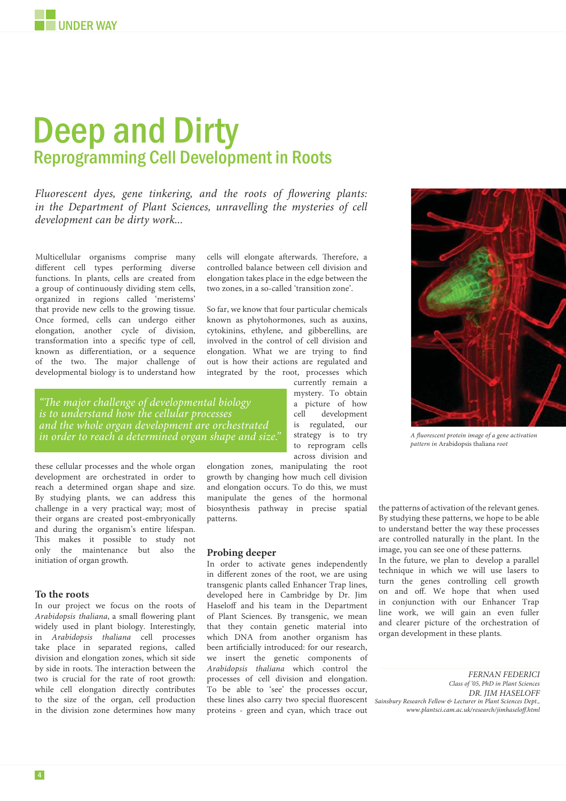## Deep and Dirty Reprogramming Cell Development in Roots

*Fluorescent dyes, gene tinkering, and the roots of flowering plants:* in the Department of Plant Sciences, unravelling the mysteries of cell *development can be dirty work ...*

Multicellular organisms comprise many different cell types performing diverse functions. In plants, cells are created from a group of continuously dividing stem cells, organized in regions called 'meristems' that provide new cells to the growing tissue. Once formed, cells can undergo either elongation, another cycle of division, transformation into a specific type of cell, known as differentiation, or a sequence of the two. The major challenge of developmental biology is to understand how

*"Th e major challenge of developmental biology is to understand how the cellular processes and the whole organ development are orchestrated in order to reach a determined organ shape and size."*

these cellular processes and the whole organ development are orchestrated in order to reach a determined organ shape and size. By studying plants, we can address this challenge in a very practical way; most of their organs are created post-embryonically and during the organism's entire lifespan. This makes it possible to study not only the maintenance but also the initiation of organ growth.

#### **To the roots**

In our project we focus on the roots of *Arabidopsis thaliana*, a small flowering plant widely used in plant biology. Interestingly, in *Arabidopsis thaliana* cell processes take place in separated regions, called division and elongation zones, which sit side by side in roots. The interaction between the two is crucial for the rate of root growth: while cell elongation directly contributes to the size of the organ, cell production in the division zone determines how many

cells will elongate afterwards. Therefore, a controlled balance between cell division and elongation takes place in the edge between the two zones, in a so-called 'transition zone'.

So far, we know that four particular chemicals known as phytohormones, such as auxins, cytokinins, ethylene, and gibberellins, are involved in the control of cell division and elongation. What we are trying to find out is how their actions are regulated and integrated by the root, processes which

> currently remain a mystery. To obtain a picture of how cell development is regulated, our strategy is to try to reprogram cells across division and

*A fl uorescent protein image of a gene activation pattern in* Arabidopsis thaliana *root*

elongation zones, manipulating the root growth by changing how much cell division and elongation occurs. To do this, we must manipulate the genes of the hormonal biosynthesis pathway in precise spatial patterns.

#### **Probing deeper**

In order to activate genes independently in different zones of the root, we are using transgenic plants called Enhancer Trap lines, developed here in Cambridge by Dr. Jim Haseloff and his team in the Department of Plant Sciences. By transgenic, we mean that they contain genetic material into which DNA from another organism has been artificially introduced: for our research, we insert the genetic components of *Arabidopsis thaliana* which control the processes of cell division and elongation. To be able to 'see' the processes occur, these lines also carry two special fluorescent proteins - green and cyan, which trace out

the patterns of activation of the relevant genes. By studying these patterns, we hope to be able to understand better the way these processes are controlled naturally in the plant. In the image, you can see one of these patterns.

In the future, we plan to develop a parallel technique in which we will use lasers to turn the genes controlling cell growth on and off. We hope that when used in conjunction with our Enhancer Trap line work, we will gain an even fuller and clearer picture of the orchestration of organ development in these plants.

*Sainsbury Research Fellow & Lecturer in Plant Sciences Dept., www.plantsci.cam.ac.uk/research/jimhaseloff .html DR. JIM HASELOFF FERNAN FEDERICI Class of '05, PhD in Plant Sciences*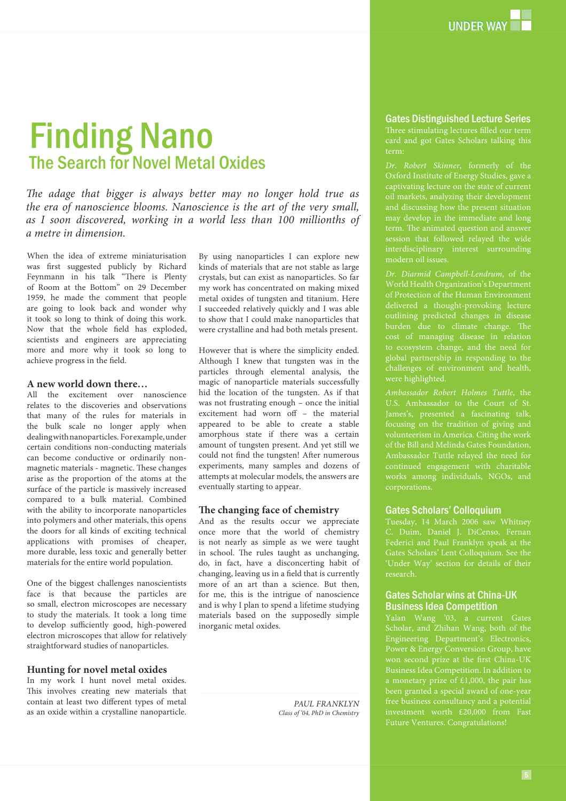## Finding Nano The Search for Novel Metal Oxides

The adage that bigger is always better may no longer hold true as *the era of nanoscience blooms. Nanoscience is the art of the very small, as I soon discovered, working in a world less than 100 millionths of a metre in dimension.*

When the idea of extreme miniaturisation was first suggested publicly by Richard Feynmann in his talk "There is Plenty of Room at the Bottom" on 29 December 1959, he made the comment that people are going to look back and wonder why it took so long to think of doing this work. Now that the whole field has exploded, scientists and engineers are appreciating more and more why it took so long to achieve progress in the field.

#### **A new world down there…**

All the excitement over nanoscience relates to the discoveries and observations that many of the rules for materials in the bulk scale no longer apply when dealing with nanoparticles. For example, under certain conditions non-conducting materials can become conductive or ordinarily nonmagnetic materials - magnetic. These changes arise as the proportion of the atoms at the surface of the particle is massively increased compared to a bulk material. Combined with the ability to incorporate nanoparticles into polymers and other materials, this opens the doors for all kinds of exciting technical applications with promises of cheaper, more durable, less toxic and generally better materials for the entire world population.

One of the biggest challenges nanoscientists face is that because the particles are so small, electron microscopes are necessary to study the materials. It took a long time to develop sufficiently good, high-powered electron microscopes that allow for relatively straightforward studies of nanoparticles.

#### **Hunting for novel metal oxides**

In my work I hunt novel metal oxides. This involves creating new materials that contain at least two different types of metal as an oxide within a crystalline nanoparticle.

By using nanoparticles I can explore new kinds of materials that are not stable as large crystals, but can exist as nanoparticles. So far my work has concentrated on making mixed metal oxides of tungsten and titanium. Here I succeeded relatively quickly and I was able to show that I could make nanoparticles that were crystalline and had both metals present.

However that is where the simplicity ended. Although I knew that tungsten was in the particles through elemental analysis, the magic of nanoparticle materials successfully hid the location of the tungsten. As if that was not frustrating enough – once the initial excitement had worn off – the material appeared to be able to create a stable amorphous state if there was a certain amount of tungsten present. And yet still we could not find the tungsten! After numerous experiments, many samples and dozens of attempts at molecular models, the answers are eventually starting to appear.

#### The changing face of chemistry

And as the results occur we appreciate once more that the world of chemistry is not nearly as simple as we were taught in school. The rules taught as unchanging, do, in fact, have a disconcerting habit of changing, leaving us in a field that is currently more of an art than a science. But then, for me, this is the intrigue of nanoscience and is why I plan to spend a lifetime studying materials based on the supposedly simple inorganic metal oxides.

> *PAUL FRANKLYN Class of '04, PhD in Chemistry*

#### Gates Distinguished Lecture Series

Three stimulating lectures filled our term card and got Gates Scholars talking this term:

*Dr. Robert Skinner*, formerly of the Oxford Institute of Energy Studies, gave a captivating lecture on the state of current oil markets, analyzing their development and discussing how the present situation may develop in the immediate and long term. The animated question and answer session that followed relayed the wide interdisciplinary interest surrounding modern oil issues.

delivered a thought-provoking lecture outlining predicted changes in disease burden due to climate change. The cost of managing disease in relation to ecosystem change, and the need for global partnership in responding to the challenges of environment and health, were highlighted.

*Ambassador Robert Holmes Tuttle*, the U.S. Ambassador to the Court of St. James's, presented a fascinating talk, focusing on the tradition of giving and volunteerism in America. Citing the work of the Bill and Melinda Gates Foundation, Ambassador Tuttle relayed the need for continued engagement with charitable works among individuals, NGOs, and

#### Gates Scholars' Colloquium

Tuesday, 14 March 2006 saw Whitney Federici and Paul Franklyn speak at the Gates Scholars' Lent Colloquium. See the 'Under Way' section for details of their research.

#### Gates Scholar wins at China-UK Business Idea Competition

Yalan Wang '03, a current Gates Scholar, and Zhihan Wang, both of the Engineering Department's Electronics, Power & Energy Conversion Group, have been granted a special award of one-year investment worth £20,000 from Fast Future Ventures. Congratulations!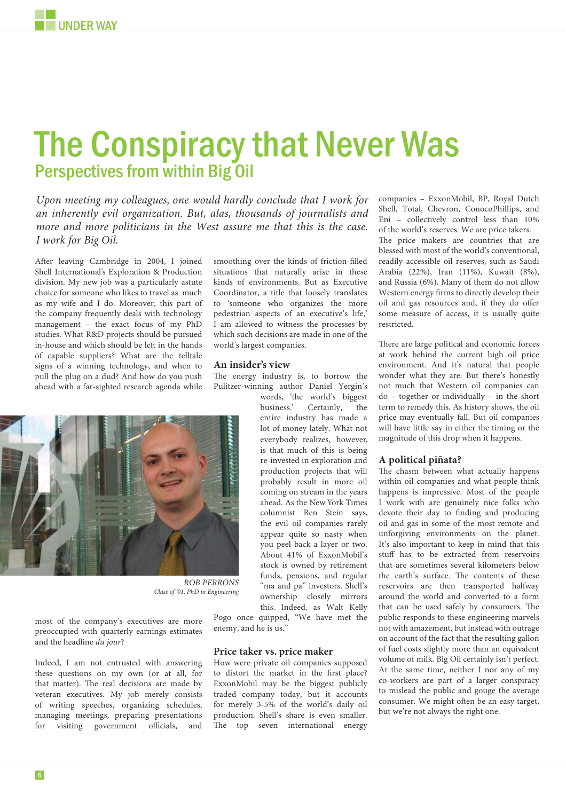## The Conspiracy that Never Was Perspectives from within Big Oil

*Upon meeting my colleagues, one would hardly conclude that I work for an inherently evil organization. But, alas, thousands of journalists and more and more politicians in the West assure me that this is the case. I work for Big Oil.*

After leaving Cambridge in 2004, I joined Shell International's Exploration & Production division. My new job was a particularly astute choice for someone who likes to travel as much as my wife and I do. Moreover, this part of the company frequently deals with technology management – the exact focus of my PhD studies. What R&D projects should be pursued in-house and which should be left in the hands of capable suppliers? What are the telltale signs of a winning technology, and when to pull the plug on a dud? And how do you push ahead with a far-sighted research agenda while

smoothing over the kinds of friction-filled situations that naturally arise in these kinds of environments. But as Executive Coordinator, a title that loosely translates to 'someone who organizes the more pedestrian aspects of an executive's life,' I am allowed to witness the processes by which such decisions are made in one of the world's largest companies.

#### **An insider's view**

The energy industry is, to borrow the Pulitzer-winning author Daniel Yergin's words, 'the world's biggest

*ROB PERRONS Class of '01, PhD in Engineering*

most of the company's executives are more preoccupied with quarterly earnings estimates and the headline *du jour*?

Indeed, I am not entrusted with answering these questions on my own (or at all, for that matter). The real decisions are made by veteran executives. My job merely consists of writing speeches, organizing schedules, managing meetings, preparing presentations for visiting government officials, and

everybody realizes, however, is that much of this is being re-invested in exploration and production projects that will probably result in more oil coming on stream in the years ahead. As the New York Times columnist Ben Stein says, the evil oil companies rarely appear quite so nasty when you peel back a layer or two. About 41% of ExxonMobil's stock is owned by retirement funds, pensions, and regular "ma and pa" investors. Shell's ownership closely mirrors this. Indeed, as Walt Kelly

business.' Certainly, the entire industry has made a lot of money lately. What not

Pogo once quipped, "We have met the enemy, and he is us."

#### **Price taker vs. price maker**

How were private oil companies supposed to distort the market in the first place? ExxonMobil may be the biggest publicly traded company today, but it accounts for merely 3-5% of the world's daily oil production. Shell's share is even smaller. The top seven international energy

companies – ExxonMobil, BP, Royal Dutch Shell, Total, Chevron, ConocoPhillips, and Eni – collectively control less than 10% of the world's reserves. We are price takers.

The price makers are countries that are blessed with most of the world's conventional, readily accessible oil reserves, such as Saudi Arabia (22%), Iran (11%), Kuwait (8%), and Russia (6%). Many of them do not allow Western energy firms to directly develop their oil and gas resources and, if they do offer some measure of access, it is usually quite restricted.

There are large political and economic forces at work behind the current high oil price environment. And it's natural that people wonder what they are. But there's honestly not much that Western oil companies can do – together or individually – in the short term to remedy this. As history shows, the oil price may eventually fall. But oil companies will have little say in either the timing or the magnitude of this drop when it happens.

#### **A political piñata?**

The chasm between what actually happens within oil companies and what people think happens is impressive. Most of the people I work with are genuinely nice folks who devote their day to finding and producing oil and gas in some of the most remote and unforgiving environments on the planet. It's also important to keep in mind that this stuff has to be extracted from reservoirs that are sometimes several kilometers below the earth's surface. The contents of these reservoirs are then transported halfway around the world and converted to a form that can be used safely by consumers. The public responds to these engineering marvels not with amazement, but instead with outrage on account of the fact that the resulting gallon of fuel costs slightly more than an equivalent volume of milk. Big Oil certainly isn't perfect. At the same time, neither I nor any of my co-workers are part of a larger conspiracy to mislead the public and gouge the average consumer. We might often be an easy target, but we're not always the right one.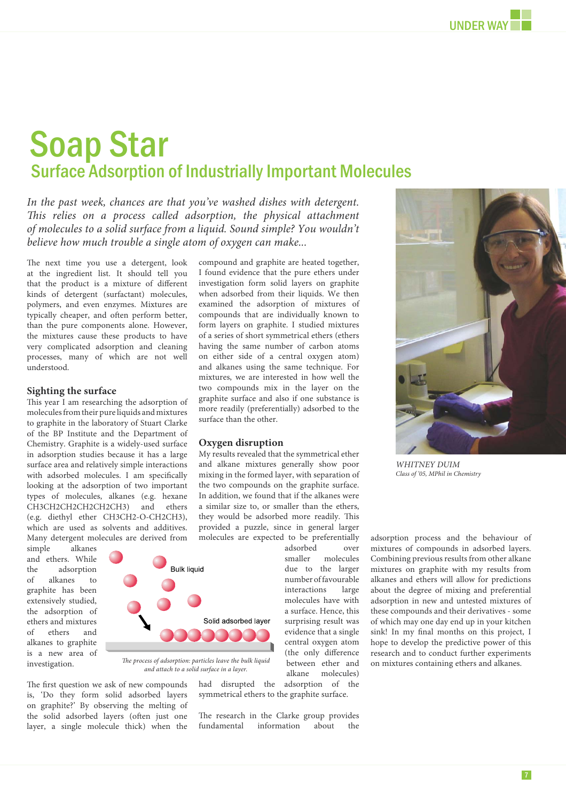# Soap Star Surface Adsorption of Industrially Important Molecules

In the past week, chances are that you've washed dishes with detergent. *This relies on a process called adsorption, the physical attachment of molecules to a solid surface from a liquid. Sound simple? You wouldn't believe how much trouble a single atom of oxygen can make...*

The next time you use a detergent, look at the ingredient list. It should tell you that the product is a mixture of different kinds of detergent (surfactant) molecules, polymers, and even enzymes. Mixtures are typically cheaper, and often perform better, than the pure components alone. However, the mixtures cause these products to have very complicated adsorption and cleaning processes, many of which are not well understood.

#### **Sighting the surface**

This year I am researching the adsorption of molecules from their pure liquids and mixtures to graphite in the laboratory of Stuart Clarke of the BP Institute and the Department of Chemistry. Graphite is a widely-used surface in adsorption studies because it has a large surface area and relatively simple interactions with adsorbed molecules. I am specifically looking at the adsorption of two important types of molecules, alkanes (e.g. hexane CH3CH2CH2CH2CH2CH3) and ethers (e.g. diethyl ether CH3CH2-O-CH2CH3), which are used as solvents and additives. Many detergent molecules are derived from

simple alkanes and ethers. While the adsorption of alkanes to graphite has been extensively studied, the adsorption of ethers and mixtures of ethers and alkanes to graphite is a new area of investigation.



*The process of adsorption: particles leave the bulk liquid and attach to a solid surface in a layer.*

The first question we ask of new compounds is, 'Do they form solid adsorbed layers on graphite?' By observing the melting of the solid adsorbed layers (often just one layer, a single molecule thick) when the

I found evidence that the pure ethers under investigation form solid layers on graphite when adsorbed from their liquids. We then examined the adsorption of mixtures of compounds that are individually known to form layers on graphite. I studied mixtures of a series of short symmetrical ethers (ethers having the same number of carbon atoms on either side of a central oxygen atom) and alkanes using the same technique. For mixtures, we are interested in how well the two compounds mix in the layer on the graphite surface and also if one substance is more readily (preferentially) adsorbed to the surface than the other.

compound and graphite are heated together,

#### **Oxygen disruption**

My results revealed that the symmetrical ether and alkane mixtures generally show poor mixing in the formed layer, with separation of the two compounds on the graphite surface. In addition, we found that if the alkanes were a similar size to, or smaller than the ethers, they would be adsorbed more readily. This provided a puzzle, since in general larger molecules are expected to be preferentially

> adsorbed over<br>smaller molecules molecules due to the larger number of favourable interactions large molecules have with a surface. Hence, this surprising result was evidence that a single central oxygen atom (the only difference between ether and

alkane molecules)<br>adsorption of the had disrupted the symmetrical ethers to the graphite surface.

The research in the Clarke group provides fundamental information about the

adsorption process and the behaviour of mixtures of compounds in adsorbed layers. Combining previous results from other alkane mixtures on graphite with my results from alkanes and ethers will allow for predictions about the degree of mixing and preferential adsorption in new and untested mixtures of these compounds and their derivatives - some of which may one day end up in your kitchen sink! In my final months on this project,  $I$ hope to develop the predictive power of this research and to conduct further experiments on mixtures containing ethers and alkanes.

*Class of '05, MPhil in Chemistry*



*WHITNEY DUIM*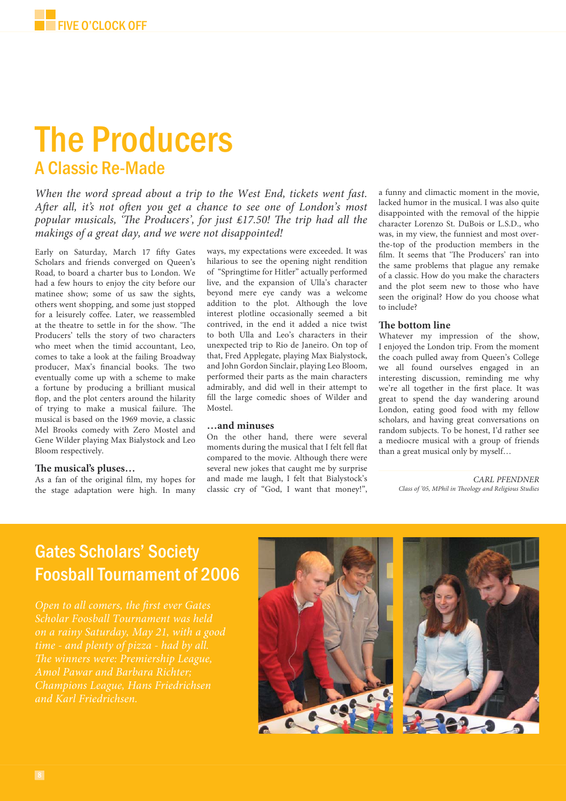# **The Producers** A Classic Re-Made

*When the word spread about a trip to the West End, tickets went fast.*  After all, it's not often you get a chance to see one of London's most *popular musicals, 'The Producers', for just £17.50! The trip had all the makings of a great day, and we were not disappointed!*

Early on Saturday, March 17 fifty Gates Scholars and friends converged on Queen's Road, to board a charter bus to London. We had a few hours to enjoy the city before our matinee show; some of us saw the sights, others went shopping, and some just stopped for a leisurely coffee. Later, we reassembled at the theatre to settle in for the show. 'The Producers' tells the story of two characters who meet when the timid accountant, Leo, comes to take a look at the failing Broadway producer, Max's financial books. The two eventually come up with a scheme to make a fortune by producing a brilliant musical flop, and the plot centers around the hilarity of trying to make a musical failure. The musical is based on the 1969 movie, a classic Mel Brooks comedy with Zero Mostel and Gene Wilder playing Max Bialystock and Leo Bloom respectively.

#### The musical's pluses...

As a fan of the original film, my hopes for the stage adaptation were high. In many

ways, my expectations were exceeded. It was hilarious to see the opening night rendition of "Springtime for Hitler" actually performed live, and the expansion of Ulla's character beyond mere eye candy was a welcome addition to the plot. Although the love interest plotline occasionally seemed a bit contrived, in the end it added a nice twist to both Ulla and Leo's characters in their unexpected trip to Rio de Janeiro. On top of that, Fred Applegate, playing Max Bialystock, and John Gordon Sinclair, playing Leo Bloom, performed their parts as the main characters admirably, and did well in their attempt to fill the large comedic shoes of Wilder and Mostel.

#### **…and minuses**

On the other hand, there were several moments during the musical that I felt fell flat compared to the movie. Although there were several new jokes that caught me by surprise and made me laugh, I felt that Bialystock's classic cry of "God, I want that money!",

a funny and climactic moment in the movie, lacked humor in the musical. I was also quite disappointed with the removal of the hippie character Lorenzo St. DuBois or L.S.D., who was, in my view, the funniest and most overthe-top of the production members in the film. It seems that 'The Producers' ran into the same problems that plague any remake of a classic. How do you make the characters and the plot seem new to those who have seen the original? How do you choose what to include?

#### **The bottom line**

Whatever my impression of the show, I enjoyed the London trip. From the moment the coach pulled away from Queen's College we all found ourselves engaged in an interesting discussion, reminding me why we're all together in the first place. It was great to spend the day wandering around London, eating good food with my fellow scholars, and having great conversations on random subjects. To be honest, I'd rather see a mediocre musical with a group of friends than a great musical only by myself…

> *CARL PFENDNER Class of '05, MPhil in Th eology and Religious Studies*

## Gates Scholars' Society Foosball Tournament of 2006

*Scholar Foosball Tournament was held on a rainy Saturday, May 21, with a good Amol Pawar and Barbara Richter; Champions League, Hans Friedrichsen and Karl Friedrichsen.*

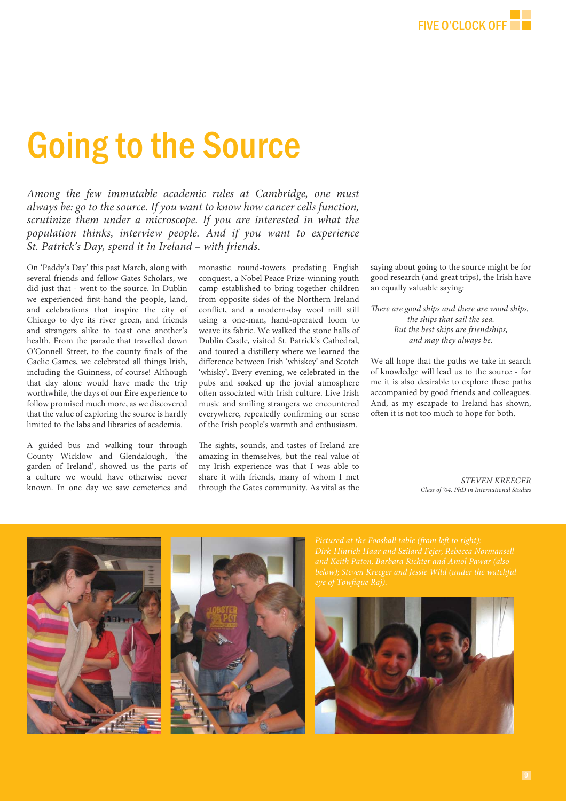# **Going to the Source**

*Among the few immutable academic rules at Cambridge, one must always be: go to the source. If you want to know how cancer cells function, scrutinize them under a microscope. If you are interested in what the population thinks, interview people. And if you want to experience St. Patrick's Day, spend it in Ireland – with friends.* 

On 'Paddy's Day' this past March, along with several friends and fellow Gates Scholars, we did just that - went to the source. In Dublin we experienced first-hand the people, land, and celebrations that inspire the city of Chicago to dye its river green, and friends and strangers alike to toast one another's health. From the parade that travelled down O'Connell Street, to the county finals of the Gaelic Games, we celebrated all things Irish, including the Guinness, of course! Although that day alone would have made the trip worthwhile, the days of our Éire experience to follow promised much more, as we discovered that the value of exploring the source is hardly limited to the labs and libraries of academia.

A guided bus and walking tour through County Wicklow and Glendalough, 'the garden of Ireland', showed us the parts of a culture we would have otherwise never known. In one day we saw cemeteries and monastic round-towers predating English conquest, a Nobel Peace Prize-winning youth camp established to bring together children from opposite sides of the Northern Ireland conflict, and a modern-day wool mill still using a one-man, hand-operated loom to weave its fabric. We walked the stone halls of Dublin Castle, visited St. Patrick's Cathedral, and toured a distillery where we learned the difference between Irish 'whiskey' and Scotch 'whisky'. Every evening, we celebrated in the pubs and soaked up the jovial atmosphere often associated with Irish culture. Live Irish music and smiling strangers we encountered everywhere, repeatedly confirming our sense of the Irish people's warmth and enthusiasm.

The sights, sounds, and tastes of Ireland are amazing in themselves, but the real value of my Irish experience was that I was able to share it with friends, many of whom I met through the Gates community. As vital as the saying about going to the source might be for good research (and great trips), the Irish have an equally valuable saying:

*Th ere are good ships and there are wood ships, the ships that sail the sea. But the best ships are friendships, and may they always be.*

We all hope that the paths we take in search of knowledge will lead us to the source - for me it is also desirable to explore these paths accompanied by good friends and colleagues. And, as my escapade to Ireland has shown, often it is not too much to hope for both.

> *STEVEN KREEGER Class of '04, PhD in International Studies*



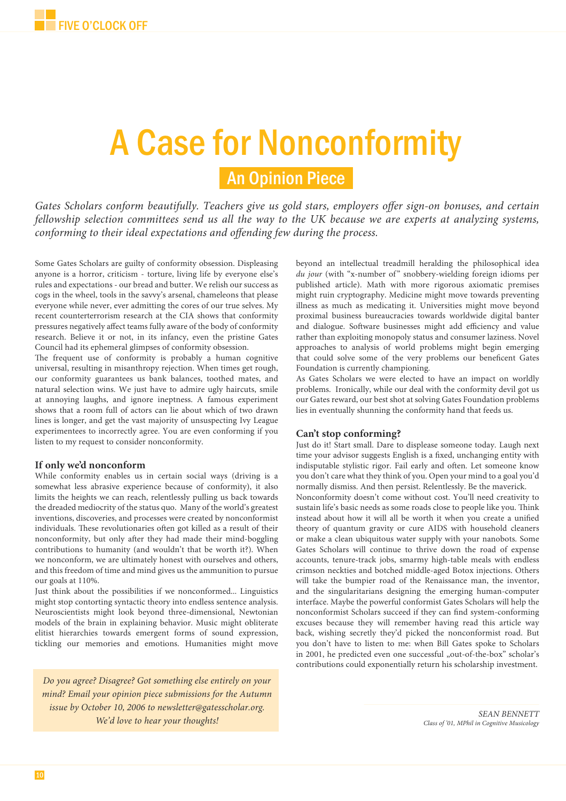# A Case for Nonconformity

## An Opinion Piece

Gates Scholars conform beautifully. Teachers give us gold stars, employers offer sign-on bonuses, and certain *fellowship selection committees send us all the way to the UK because we are experts at analyzing systems, conforming to their ideal expectations and offending few during the process.* 

Some Gates Scholars are guilty of conformity obsession. Displeasing anyone is a horror, criticism - torture, living life by everyone else's rules and expectations - our bread and butter. We relish our success as cogs in the wheel, tools in the savvy's arsenal, chameleons that please everyone while never, ever admitting the cores of our true selves. My recent counterterrorism research at the CIA shows that conformity pressures negatively affect teams fully aware of the body of conformity research. Believe it or not, in its infancy, even the pristine Gates Council had its ephemeral glimpses of conformity obsession.

The frequent use of conformity is probably a human cognitive universal, resulting in misanthropy rejection. When times get rough, our conformity guarantees us bank balances, toothed mates, and natural selection wins. We just have to admire ugly haircuts, smile at annoying laughs, and ignore ineptness. A famous experiment shows that a room full of actors can lie about which of two drawn lines is longer, and get the vast majority of unsuspecting Ivy League experimentees to incorrectly agree. You are even conforming if you listen to my request to consider nonconformity.

#### **If only we'd nonconform**

While conformity enables us in certain social ways (driving is a somewhat less abrasive experience because of conformity), it also limits the heights we can reach, relentlessly pulling us back towards the dreaded mediocrity of the status quo. Many of the world's greatest inventions, discoveries, and processes were created by nonconformist individuals. These revolutionaries often got killed as a result of their nonconformity, but only after they had made their mind-boggling contributions to humanity (and wouldn't that be worth it?). When we nonconform, we are ultimately honest with ourselves and others, and this freedom of time and mind gives us the ammunition to pursue our goals at 110%.

Just think about the possibilities if we nonconformed... Linguistics might stop contorting syntactic theory into endless sentence analysis. Neuroscientists might look beyond three-dimensional, Newtonian models of the brain in explaining behavior. Music might obliterate elitist hierarchies towards emergent forms of sound expression, tickling our memories and emotions. Humanities might move

*Do you agree? Disagree? Got something else entirely on your mind? Email your opinion piece submissions for the Autumn issue by October 10, 2006 to newsletter@gatesscholar.org. We'd love to hear your thoughts! SEAN BENNETT* 

beyond an intellectual treadmill heralding the philosophical idea *du jour* (with "x-number of" snobbery-wielding foreign idioms per published article). Math with more rigorous axiomatic premises might ruin cryptography. Medicine might move towards preventing illness as much as medicating it. Universities might move beyond proximal business bureaucracies towards worldwide digital banter and dialogue. Software businesses might add efficiency and value rather than exploiting monopoly status and consumer laziness. Novel approaches to analysis of world problems might begin emerging that could solve some of the very problems our beneficent Gates Foundation is currently championing.

As Gates Scholars we were elected to have an impact on worldly problems. Ironically, while our deal with the conformity devil got us our Gates reward, our best shot at solving Gates Foundation problems lies in eventually shunning the conformity hand that feeds us.

#### **Can't stop conforming?**

Just do it! Start small. Dare to displease someone today. Laugh next time your advisor suggests English is a fixed, unchanging entity with indisputable stylistic rigor. Fail early and often. Let someone know you don't care what they think of you. Open your mind to a goal you'd normally dismiss. And then persist. Relentlessly. Be the maverick.

Nonconformity doesn't come without cost. You'll need creativity to sustain life's basic needs as some roads close to people like you. Think instead about how it will all be worth it when you create a unified theory of quantum gravity or cure AIDS with household cleaners or make a clean ubiquitous water supply with your nanobots. Some Gates Scholars will continue to thrive down the road of expense accounts, tenure-track jobs, smarmy high-table meals with endless crimson neckties and botched middle-aged Botox injections. Others will take the bumpier road of the Renaissance man, the inventor, and the singularitarians designing the emerging human-computer interface. Maybe the powerful conformist Gates Scholars will help the nonconformist Scholars succeed if they can find system-conforming excuses because they will remember having read this article way back, wishing secretly they'd picked the nonconformist road. But you don't have to listen to me: when Bill Gates spoke to Scholars in 2001, he predicted even one successful "out-of-the-box" scholar's contributions could exponentially return his scholarship investment.

*Class of '01, MPhil in Cognitive Musicology*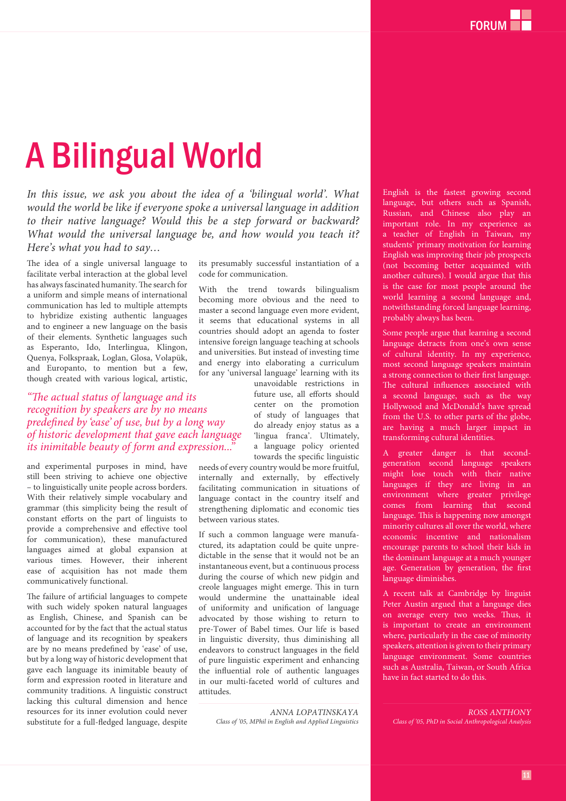# A Bilingual World

*In this issue, we ask you about the idea of a 'bilingual world'. What would the world be like if everyone spoke a universal language in addition to their native language? Would this be a step forward or backward? What would the universal language be, and how would you teach it? Here's what you had to say…*

The idea of a single universal language to facilitate verbal interaction at the global level has always fascinated humanity. The search for a uniform and simple means of international communication has led to multiple attempts to hybridize existing authentic languages and to engineer a new language on the basis of their elements. Synthetic languages such as Esperanto, Ido, Interlingua, Klingon, Quenya, Folkspraak, Loglan, Glosa, Volapük, and Europanto, to mention but a few, though created with various logical, artistic,

*"The actual status of language and its recognition by speakers are by no means predefi ned by 'ease' of use, but by a long way of historic development that gave each language*  its inimitable beauty of form and expression...<sup>"</sup>

and experimental purposes in mind, have still been striving to achieve one objective – to linguistically unite people across borders. With their relatively simple vocabulary and grammar (this simplicity being the result of  $constant$  efforts on the part of linguists to provide a comprehensive and effective tool for communication), these manufactured languages aimed at global expansion at various times. However, their inherent ease of acquisition has not made them communicatively functional.

The failure of artificial languages to compete with such widely spoken natural languages as English, Chinese, and Spanish can be accounted for by the fact that the actual status of language and its recognition by speakers are by no means predefined by 'ease' of use, but by a long way of historic development that gave each language its inimitable beauty of form and expression rooted in literature and community traditions. A linguistic construct lacking this cultural dimension and hence resources for its inner evolution could never substitute for a full-fledged language, despite

its presumably successful instantiation of a code for communication.

With the trend towards bilingualism becoming more obvious and the need to master a second language even more evident, it seems that educational systems in all countries should adopt an agenda to foster intensive foreign language teaching at schools and universities. But instead of investing time and energy into elaborating a curriculum for any 'universal language' learning with its

unavoidable restrictions in future use, all efforts should center on the promotion of study of languages that do already enjoy status as a 'lingua franca'. Ultimately, a language policy oriented towards the specific linguistic

needs of every country would be more fruitful, internally and externally, by effectively facilitating communication in situations of language contact in the country itself and strengthening diplomatic and economic ties between various states.

If such a common language were manufactured, its adaptation could be quite unpredictable in the sense that it would not be an instantaneous event, but a continuous process during the course of which new pidgin and creole languages might emerge. This in turn would undermine the unattainable ideal of uniformity and unification of language advocated by those wishing to return to pre-Tower of Babel times. Our life is based in linguistic diversity, thus diminishing all endeavors to construct languages in the field of pure linguistic experiment and enhancing the influential role of authentic languages in our multi-faceted world of cultures and attitudes.

> *ANNA LOPATINSKAYA Class of '05, MPhil in English and Applied Linguistics*

English is the fastest growing second language, but others such as Spanish, Russian, and Chinese also play an important role. In my experience as a teacher of English in Taiwan, my students' primary motivation for learning English was improving their job prospects (not becoming better acquainted with another cultures). I would argue that this is the case for most people around the world learning a second language and, notwithstanding forced language learning, probably always has been.

Some people argue that learning a second language detracts from one's own sense of cultural identity. In my experience, most second language speakers maintain a strong connection to their first language. The cultural influences associated with a second language, such as the way Hollywood and McDonald's have spread from the U.S. to other parts of the globe, are having a much larger impact in transforming cultural identities.

A greater danger is that secondgeneration second language speakers might lose touch with their native languages if they are living in an environment where greater privilege comes from learning that second language. This is happening now amongst minority cultures all over the world, where economic incentive and nationalism encourage parents to school their kids in the dominant language at a much younger age. Generation by generation, the first language diminishes.

A recent talk at Cambridge by linguist Peter Austin argued that a language dies on average every two weeks. Thus, it is important to create an environment where, particularly in the case of minority speakers, attention is given to their primary language environment. Some countries such as Australia, Taiwan, or South Africa have in fact started to do this.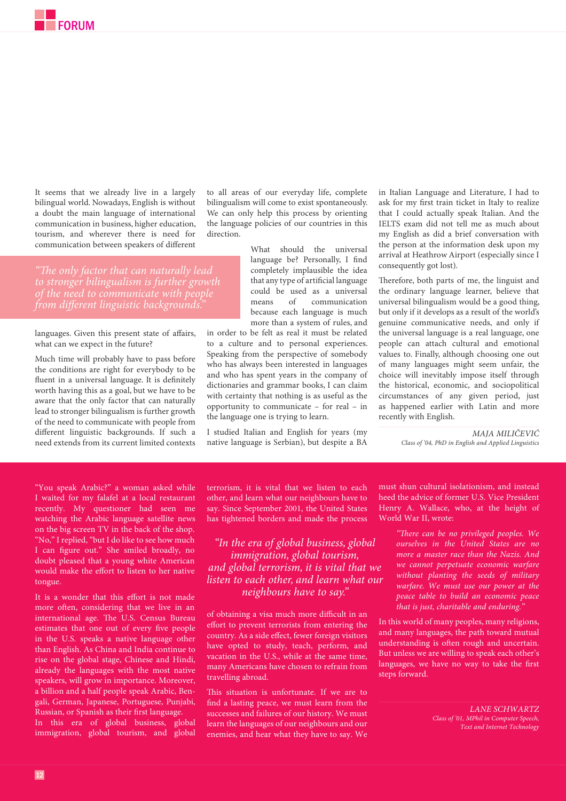It seems that we already live in a largely bilingual world. Nowadays, English is without a doubt the main language of international communication in business, higher education, tourism, and wherever there is need for communication between speakers of different

*"Th e only factor that can naturally lead to stronger bilingualism is further growth from different linguistic backgrounds.* 

languages. Given this present state of affairs, what can we expect in the future?

Much time will probably have to pass before the conditions are right for everybody to be fluent in a universal language. It is definitely worth having this as a goal, but we have to be aware that the only factor that can naturally lead to stronger bilingualism is further growth of the need to communicate with people from different linguistic backgrounds. If such a need extends from its current limited contexts

"You speak Arabic?" a woman asked while I waited for my falafel at a local restaurant recently. My questioner had seen me watching the Arabic language satellite news on the big screen TV in the back of the shop. "No," I replied, "but I do like to see how much I can figure out." She smiled broadly, no doubt pleased that a young white American would make the effort to listen to her native tongue.

It is a wonder that this effort is not made more often, considering that we live in an international age. The U.S. Census Bureau estimates that one out of every five people in the U.S. speaks a native language other than English. As China and India continue to rise on the global stage, Chinese and Hindi, already the languages with the most native speakers, will grow in importance. Moreover, a billion and a half people speak Arabic, Bengali, German, Japanese, Portuguese, Punjabi, Russian, or Spanish as their first language. In this era of global business, global

immigration, global tourism, and global

to all areas of our everyday life, complete bilingualism will come to exist spontaneously. We can only help this process by orienting the language policies of our countries in this direction.

> What should the universal language be? Personally, I find completely implausible the idea that any type of artificial language could be used as a universal means of communication because each language is much more than a system of rules, and

in order to be felt as real it must be related to a culture and to personal experiences. Speaking from the perspective of somebody who has always been interested in languages and who has spent years in the company of dictionaries and grammar books, I can claim with certainty that nothing is as useful as the opportunity to communicate – for real – in the language one is trying to learn.

I studied Italian and English for years (my native language is Serbian), but despite a BA in Italian Language and Literature, I had to ask for my first train ticket in Italy to realize that I could actually speak Italian. And the IELTS exam did not tell me as much about my English as did a brief conversation with the person at the information desk upon my arrival at Heathrow Airport (especially since I consequently got lost).

Therefore, both parts of me, the linguist and the ordinary language learner, believe that universal bilingualism would be a good thing, but only if it develops as a result of the world's genuine communicative needs, and only if the universal language is a real language, one people can attach cultural and emotional values to. Finally, although choosing one out of many languages might seem unfair, the choice will inevitably impose itself through the historical, economic, and sociopolitical circumstances of any given period, just as happened earlier with Latin and more recently with English.

> *MAJA MILIČEVIĆ Class of '04, PhD in English and Applied Linguistics*

terrorism, it is vital that we listen to each other, and learn what our neighbours have to say. Since September 2001, the United States has tightened borders and made the process

*"In the era of global business, global immigration, global tourism, and global terrorism, it is vital that we listen to each other, and learn what our neighbours have to say."*

of obtaining a visa much more difficult in an effort to prevent terrorists from entering the country. As a side effect, fewer foreign visitors have opted to study, teach, perform, and vacation in the U.S., while at the same time, many Americans have chosen to refrain from travelling abroad.

This situation is unfortunate. If we are to find a lasting peace, we must learn from the successes and failures of our history. We must learn the languages of our neighbours and our enemies, and hear what they have to say. We

must shun cultural isolationism, and instead heed the advice of former U.S. Vice President Henry A. Wallace, who, at the height of World War II, wrote:

> *"Th ere can be no privileged peoples. We ourselves in the United States are no more a master race than the Nazis. And we cannot perpetuate economic warfare without planting the seeds of military warfare. We must use our power at the peace table to build an economic peace that is just, charitable and enduring."*

In this world of many peoples, many religions, and many languages, the path toward mutual understanding is often rough and uncertain. But unless we are willing to speak each other's languages, we have no way to take the first steps forward.

> *LANE SCHWARTZ Class of '01, MPhil in Computer Speech, Text and Internet Technology*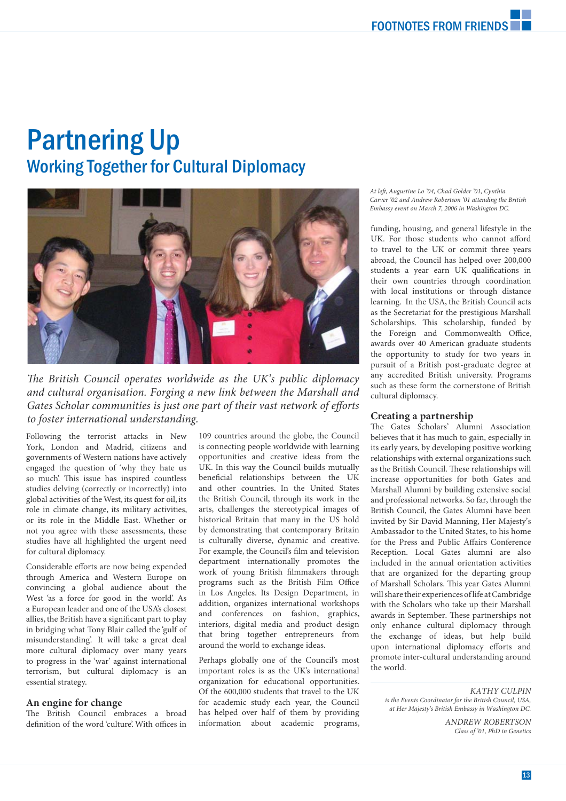## Partnering Up Working Together for Cultural Diplomacy



The British Council operates worldwide as the UK's public diplomacy *and cultural organisation. Forging a new link between the Marshall and*  Gates Scholar communities is just one part of their vast network of efforts *to foster international understanding.*

Following the terrorist attacks in New York, London and Madrid, citizens and governments of Western nations have actively engaged the question of 'why they hate us so much'. This issue has inspired countless studies delving (correctly or incorrectly) into global activities of the West, its quest for oil, its role in climate change, its military activities, or its role in the Middle East. Whether or not you agree with these assessments, these studies have all highlighted the urgent need for cultural diplomacy.

Considerable efforts are now being expended through America and Western Europe on convincing a global audience about the West 'as a force for good in the world'. As a European leader and one of the USA's closest allies, the British have a significant part to play in bridging what Tony Blair called the 'gulf of misunderstanding'. It will take a great deal more cultural diplomacy over many years to progress in the 'war' against international terrorism, but cultural diplomacy is an essential strategy.

#### **An engine for change**

The British Council embraces a broad definition of the word 'culture'. With offices in

109 countries around the globe, the Council is connecting people worldwide with learning opportunities and creative ideas from the UK. In this way the Council builds mutually beneficial relationships between the UK and other countries. In the United States the British Council, through its work in the arts, challenges the stereotypical images of historical Britain that many in the US hold by demonstrating that contemporary Britain is culturally diverse, dynamic and creative. For example, the Council's film and television department internationally promotes the work of young British filmmakers through programs such as the British Film Office in Los Angeles. Its Design Department, in addition, organizes international workshops and conferences on fashion, graphics, interiors, digital media and product design that bring together entrepreneurs from around the world to exchange ideas.

Perhaps globally one of the Council's most important roles is as the UK's international organization for educational opportunities. Of the 600,000 students that travel to the UK for academic study each year, the Council has helped over half of them by providing information about academic programs, *At left , Augustine Lo '04, Chad Golder '01, Cynthia Carver '02 and Andrew Robertson '01 attending the British Embassy event on March 7, 2006 in Washington DC.*

funding, housing, and general lifestyle in the UK. For those students who cannot afford to travel to the UK or commit three years abroad, the Council has helped over 200,000 students a year earn UK qualifications in their own countries through coordination with local institutions or through distance learning. In the USA, the British Council acts as the Secretariat for the prestigious Marshall Scholarships. This scholarship, funded by the Foreign and Commonwealth Office, awards over 40 American graduate students the opportunity to study for two years in pursuit of a British post-graduate degree at any accredited British university. Programs such as these form the cornerstone of British cultural diplomacy.

#### **Creating a partnership**

The Gates Scholars' Alumni Association believes that it has much to gain, especially in its early years, by developing positive working relationships with external organizations such as the British Council. These relationships will increase opportunities for both Gates and Marshall Alumni by building extensive social and professional networks. So far, through the British Council, the Gates Alumni have been invited by Sir David Manning, Her Majesty's Ambassador to the United States, to his home for the Press and Public Affairs Conference Reception. Local Gates alumni are also included in the annual orientation activities that are organized for the departing group of Marshall Scholars. This year Gates Alumni will share their experiences of life at Cambridge with the Scholars who take up their Marshall awards in September. These partnerships not only enhance cultural diplomacy through the exchange of ideas, but help build upon international diplomacy efforts and promote inter-cultural understanding around the world.

*KATHY CULPIN is the Events Coordinator for the British Council, USA, at Her Majesty's British Embassy in Washington DC.* 

> *ANDREW ROBERTSON Class of '01, PhD in Genetics*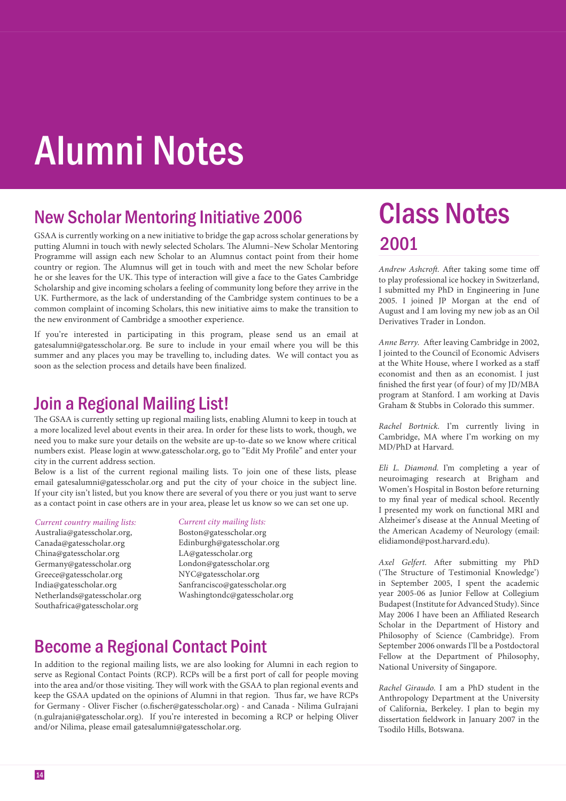# Alumni Notes

## New Scholar Mentoring Initiative 2006

GSAA is currently working on a new initiative to bridge the gap across scholar generations by putting Alumni in touch with newly selected Scholars. The Alumni-New Scholar Mentoring Programme will assign each new Scholar to an Alumnus contact point from their home country or region. The Alumnus will get in touch with and meet the new Scholar before he or she leaves for the UK. This type of interaction will give a face to the Gates Cambridge Scholarship and give incoming scholars a feeling of community long before they arrive in the UK. Furthermore, as the lack of understanding of the Cambridge system continues to be a common complaint of incoming Scholars, this new initiative aims to make the transition to the new environment of Cambridge a smoother experience.

If you're interested in participating in this program, please send us an email at gatesalumni@gatesscholar.org. Be sure to include in your email where you will be this summer and any places you may be travelling to, including dates. We will contact you as soon as the selection process and details have been finalized.

## Join a Regional Mailing List!

The GSAA is currently setting up regional mailing lists, enabling Alumni to keep in touch at a more localized level about events in their area. In order for these lists to work, though, we need you to make sure your details on the website are up-to-date so we know where critical numbers exist. Please login at www.gatesscholar.org, go to "Edit My Profile" and enter your city in the current address section.

Below is a list of the current regional mailing lists. To join one of these lists, please email gatesalumni@gatesscholar.org and put the city of your choice in the subject line. If your city isn't listed, but you know there are several of you there or you just want to serve as a contact point in case others are in your area, please let us know so we can set one up.

#### *Current country mailing lists:*

Australia@gatesscholar.org, Canada@gatesscholar.org China@gatesscholar.org Germany@gatesscholar.org Greece@gatesscholar.org India@gatesscholar.org Netherlands@gatesscholar.org Southafrica@gatesscholar.org

#### *Current city mailing lists:*

Boston@gatesscholar.org Edinburgh@gatesscholar.org LA@gatesscholar.org London@gatesscholar.org NYC@gatesscholar.org Sanfrancisco@gatesscholar.org Washingtondc@gatesscholar.org

## Become a Regional Contact Point

In addition to the regional mailing lists, we are also looking for Alumni in each region to serve as Regional Contact Points (RCP). RCPs will be a first port of call for people moving into the area and/or those visiting. They will work with the GSAA to plan regional events and keep the GSAA updated on the opinions of Alumni in that region. Thus far, we have RCPs for Germany - Oliver Fischer (o.fischer@gatesscholar.org) - and Canada - Nilima GuIrajani (n.gulrajani@gatesscholar.org). If you're interested in becoming a RCP or helping Oliver and/or Nilima, please email gatesalumni@gatesscholar.org.

# 2001 Class Notes

*Andrew Ashcroft.* After taking some time off to play professional ice hockey in Switzerland, I submitted my PhD in Engineering in June 2005. I joined JP Morgan at the end of August and I am loving my new job as an Oil Derivatives Trader in London.

Anne Berry. After leaving Cambridge in 2002, I jointed to the Council of Economic Advisers at the White House, where I worked as a staff economist and then as an economist. I just finished the first year (of four) of my JD/MBA program at Stanford. I am working at Davis Graham & Stubbs in Colorado this summer.

*Rachel Bortnick.* I'm currently living in Cambridge, MA where I'm working on my MD/PhD at Harvard.

*Eli L. Diamond.* I'm completing a year of neuroimaging research at Brigham and Women's Hospital in Boston before returning to my final year of medical school. Recently I presented my work on functional MRI and Alzheimer's disease at the Annual Meeting of the American Academy of Neurology (email: elidiamond@post.harvard.edu).

*Axel Gelfert.* After submitting my PhD ('The Structure of Testimonial Knowledge') in September 2005, I spent the academic year 2005-06 as Junior Fellow at Collegium Budapest (Institute for Advanced Study). Since May 2006 I have been an Affiliated Research Scholar in the Department of History and Philosophy of Science (Cambridge). From September 2006 onwards I'll be a Postdoctoral Fellow at the Department of Philosophy, National University of Singapore.

*Rachel Giraudo.* I am a PhD student in the Anthropology Department at the University of California, Berkeley. I plan to begin my dissertation fieldwork in January 2007 in the Tsodilo Hills, Botswana.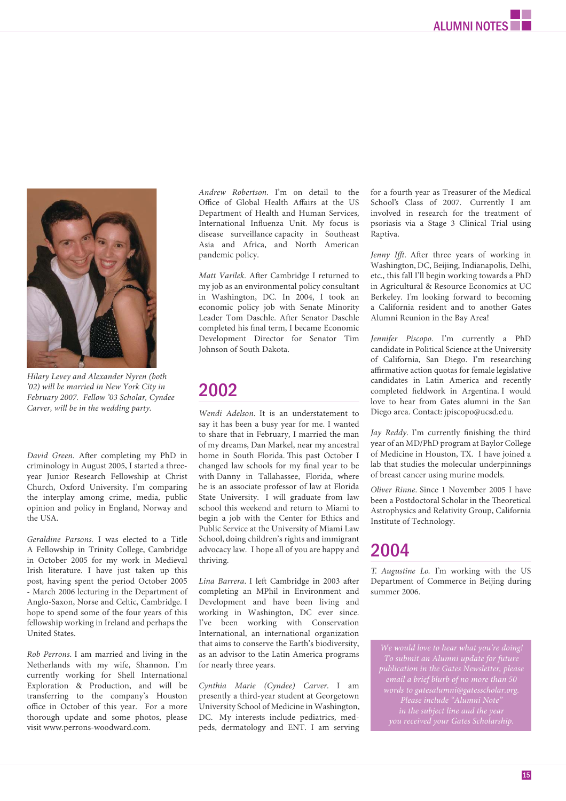

*Hilary Levey and Alexander Nyren (both '02) will be married in New York City in February 2007. Fellow '03 Scholar, Cyndee Carver, will be in the wedding party.*

*David Green.* After completing my PhD in criminology in August 2005, I started a threeyear Junior Research Fellowship at Christ Church, Oxford University. I'm comparing the interplay among crime, media, public opinion and policy in England, Norway and the USA.

*Geraldine Parsons.* I was elected to a Title A Fellowship in Trinity College, Cambridge in October 2005 for my work in Medieval Irish literature. I have just taken up this post, having spent the period October 2005 - March 2006 lecturing in the Department of Anglo-Saxon, Norse and Celtic, Cambridge. I hope to spend some of the four years of this fellowship working in Ireland and perhaps the United States.

*Rob Perrons*. I am married and living in the Netherlands with my wife, Shannon. I'm currently working for Shell International Exploration & Production, and will be transferring to the company's Houston office in October of this year. For a more thorough update and some photos, please visit www.perrons-woodward.com.

*Andrew Robertson*. I'm on detail to the Office of Global Health Affairs at the US Department of Health and Human Services, International Influenza Unit. My focus is disease surveillance capacity in Southeast Asia and Africa, and North American pandemic policy.

*Matt Varilek.* After Cambridge I returned to my job as an environmental policy consultant in Washington, DC. In 2004, I took an economic policy job with Senate Minority Leader Tom Daschle. After Senator Daschle completed his final term, I became Economic Development Director for Senator Tim Johnson of South Dakota.

### 2002

*Wendi Adelson*. It is an understatement to say it has been a busy year for me. I wanted to share that in February, I married the man of my dreams, Dan Markel, near my ancestral home in South Florida. This past October I changed law schools for my final year to be with Danny in Tallahassee, Florida, where he is an associate professor of law at Florida State University. I will graduate from law school this weekend and return to Miami to begin a job with the Center for Ethics and Public Service at the University of Miami Law School, doing children's rights and immigrant advocacy law. I hope all of you are happy and thriving.

Lina Barrera. I left Cambridge in 2003 after completing an MPhil in Environment and Development and have been living and working in Washington, DC ever since. I've been working with Conservation International, an international organization that aims to conserve the Earth's biodiversity, as an advisor to the Latin America programs for nearly three years.

*Cynthia Marie (Cyndee) Carver*. I am presently a third-year student at Georgetown University School of Medicine in Washington, DC. My interests include pediatrics, medpeds, dermatology and ENT. I am serving for a fourth year as Treasurer of the Medical School's Class of 2007. Currently I am involved in research for the treatment of psoriasis via a Stage 3 Clinical Trial using Raptiva.

Jenny Ifft. After three years of working in Washington, DC, Beijing, Indianapolis, Delhi, etc., this fall I'll begin working towards a PhD in Agricultural & Resource Economics at UC Berkeley. I'm looking forward to becoming a California resident and to another Gates Alumni Reunion in the Bay Area!

*Jennifer Piscopo*. I'm currently a PhD candidate in Political Science at the University of California, San Diego. I'm researching affirmative action quotas for female legislative candidates in Latin America and recently completed fieldwork in Argentina. I would love to hear from Gates alumni in the San Diego area. Contact: jpiscopo@ucsd.edu.

*Jay Reddy*. I'm currently finishing the third year of an MD/PhD program at Baylor College of Medicine in Houston, TX. I have joined a lab that studies the molecular underpinnings of breast cancer using murine models.

*Oliver Rinne*. Since 1 November 2005 I have been a Postdoctoral Scholar in the Theoretical Astrophysics and Relativity Group, California Institute of Technology.

### 2004

*T. Augustine Lo.* I'm working with the US Department of Commerce in Beijing during summer 2006.

*We would love to hear what you're doing! publication in the Gates Newsletter, please email a brief blurb of no more than 50 words to gatesalumni@gatesscholar.org. Please include "Alumni Note"*